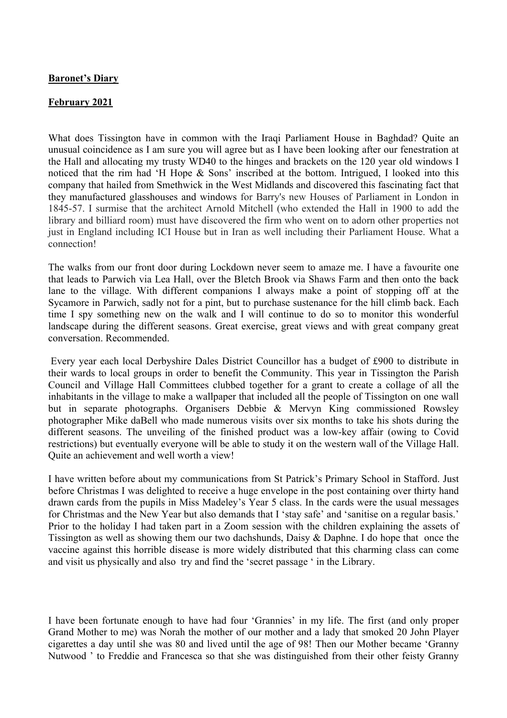## **Baronet's Diary**

## **February 2021**

What does Tissington have in common with the Iraqi Parliament House in Baghdad? Quite an unusual coincidence as I am sure you will agree but as I have been looking after our fenestration at the Hall and allocating my trusty WD40 to the hinges and brackets on the 120 year old windows I noticed that the rim had 'H Hope & Sons' inscribed at the bottom. Intrigued, I looked into this company that hailed from Smethwick in the West Midlands and discovered this fascinating fact that they manufactured glasshouses and windows for Barry's new Houses of Parliament in London in 1845-57. I surmise that the architect Arnold Mitchell (who extended the Hall in 1900 to add the library and billiard room) must have discovered the firm who went on to adorn other properties not just in England including ICI House but in Iran as well including their Parliament House. What a connection!

The walks from our front door during Lockdown never seem to amaze me. I have a favourite one that leads to Parwich via Lea Hall, over the Bletch Brook via Shaws Farm and then onto the back lane to the village. With different companions I always make a point of stopping off at the Sycamore in Parwich, sadly not for a pint, but to purchase sustenance for the hill climb back. Each time I spy something new on the walk and I will continue to do so to monitor this wonderful landscape during the different seasons. Great exercise, great views and with great company great conversation. Recommended.

Every year each local Derbyshire Dales District Councillor has a budget of £900 to distribute in their wards to local groups in order to benefit the Community. This year in Tissington the Parish Council and Village Hall Committees clubbed together for a grant to create a collage of all the inhabitants in the village to make a wallpaper that included all the people of Tissington on one wall but in separate photographs. Organisers Debbie & Mervyn King commissioned Rowsley photographer Mike daBell who made numerous visits over six months to take his shots during the different seasons. The unveiling of the finished product was a low-key affair (owing to Covid restrictions) but eventually everyone will be able to study it on the western wall of the Village Hall. Quite an achievement and well worth a view!

I have written before about my communications from St Patrick's Primary School in Stafford. Just before Christmas I was delighted to receive a huge envelope in the post containing over thirty hand drawn cards from the pupils in Miss Madeley's Year 5 class. In the cards were the usual messages for Christmas and the New Year but also demands that I 'stay safe' and 'sanitise on a regular basis.' Prior to the holiday I had taken part in a Zoom session with the children explaining the assets of Tissington as well as showing them our two dachshunds, Daisy & Daphne. I do hope that once the vaccine against this horrible disease is more widely distributed that this charming class can come and visit us physically and also try and find the 'secret passage ' in the Library.

I have been fortunate enough to have had four 'Grannies' in my life. The first (and only proper Grand Mother to me) was Norah the mother of our mother and a lady that smoked 20 John Player cigarettes a day until she was 80 and lived until the age of 98! Then our Mother became 'Granny Nutwood ' to Freddie and Francesca so that she was distinguished from their other feisty Granny